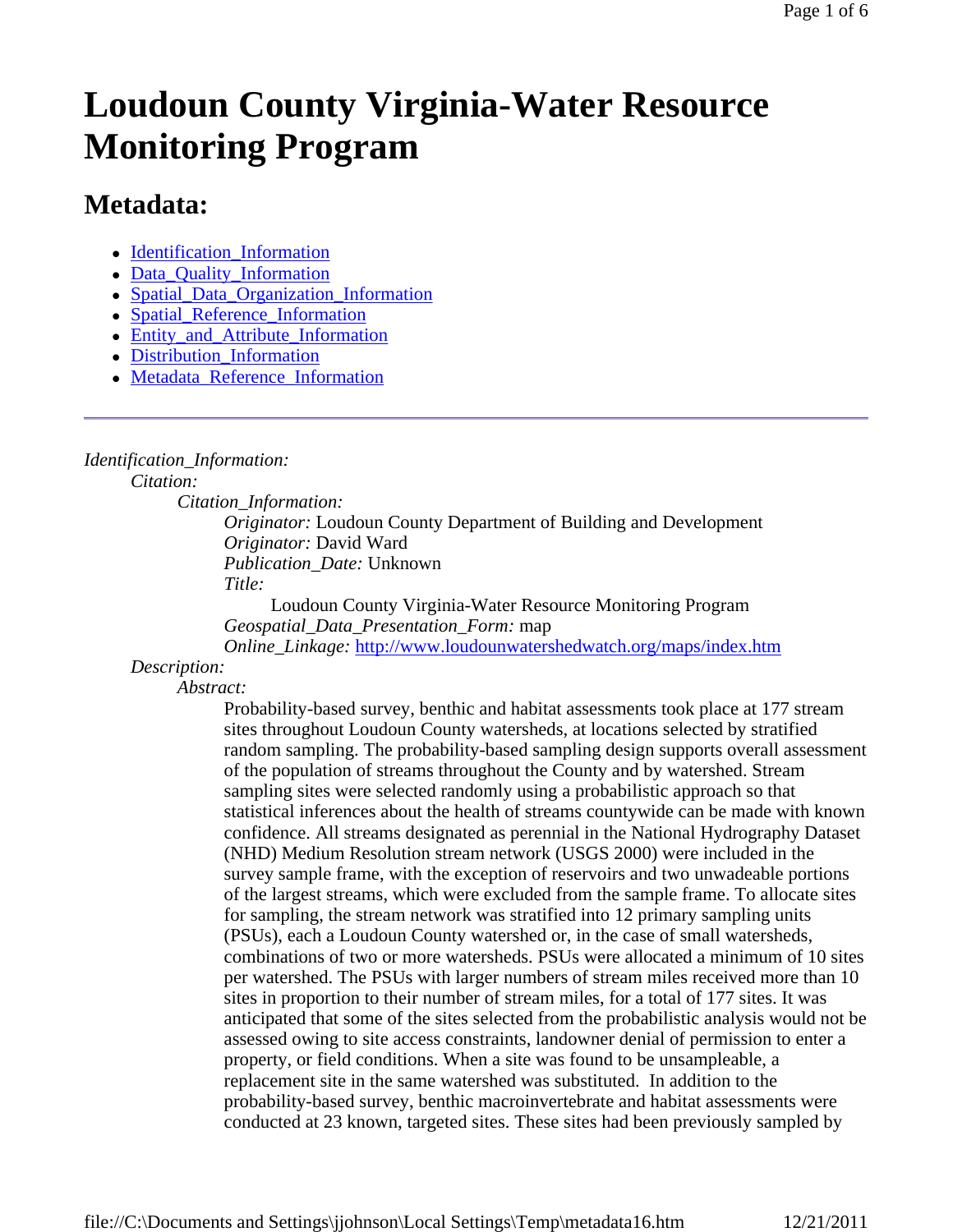# **Loudoun County Virginia-Water Resource Monitoring Program**

# **Metadata:**

- Identification Information
- Data\_Quality\_Information
- Spatial Data Organization Information
- Spatial Reference Information
- Entity and Attribute Information
- Distribution Information
- Metadata\_Reference\_Information

### *Identification\_Information:*

*Citation:*

*Citation\_Information:*

*Originator:* Loudoun County Department of Building and Development *Originator:* David Ward *Publication\_Date:* Unknown *Title:*

Loudoun County Virginia-Water Resource Monitoring Program *Geospatial\_Data\_Presentation\_Form:* map *Online\_Linkage:* http://www.loudounwatershedwatch.org/maps/index.htm

## *Description:*

*Abstract:*

Probability-based survey, benthic and habitat assessments took place at 177 stream sites throughout Loudoun County watersheds, at locations selected by stratified random sampling. The probability-based sampling design supports overall assessment of the population of streams throughout the County and by watershed. Stream sampling sites were selected randomly using a probabilistic approach so that statistical inferences about the health of streams countywide can be made with known confidence. All streams designated as perennial in the National Hydrography Dataset (NHD) Medium Resolution stream network (USGS 2000) were included in the survey sample frame, with the exception of reservoirs and two unwadeable portions of the largest streams, which were excluded from the sample frame. To allocate sites for sampling, the stream network was stratified into 12 primary sampling units (PSUs), each a Loudoun County watershed or, in the case of small watersheds, combinations of two or more watersheds. PSUs were allocated a minimum of 10 sites per watershed. The PSUs with larger numbers of stream miles received more than 10 sites in proportion to their number of stream miles, for a total of 177 sites. It was anticipated that some of the sites selected from the probabilistic analysis would not be assessed owing to site access constraints, landowner denial of permission to enter a property, or field conditions. When a site was found to be unsampleable, a replacement site in the same watershed was substituted. In addition to the probability-based survey, benthic macroinvertebrate and habitat assessments were conducted at 23 known, targeted sites. These sites had been previously sampled by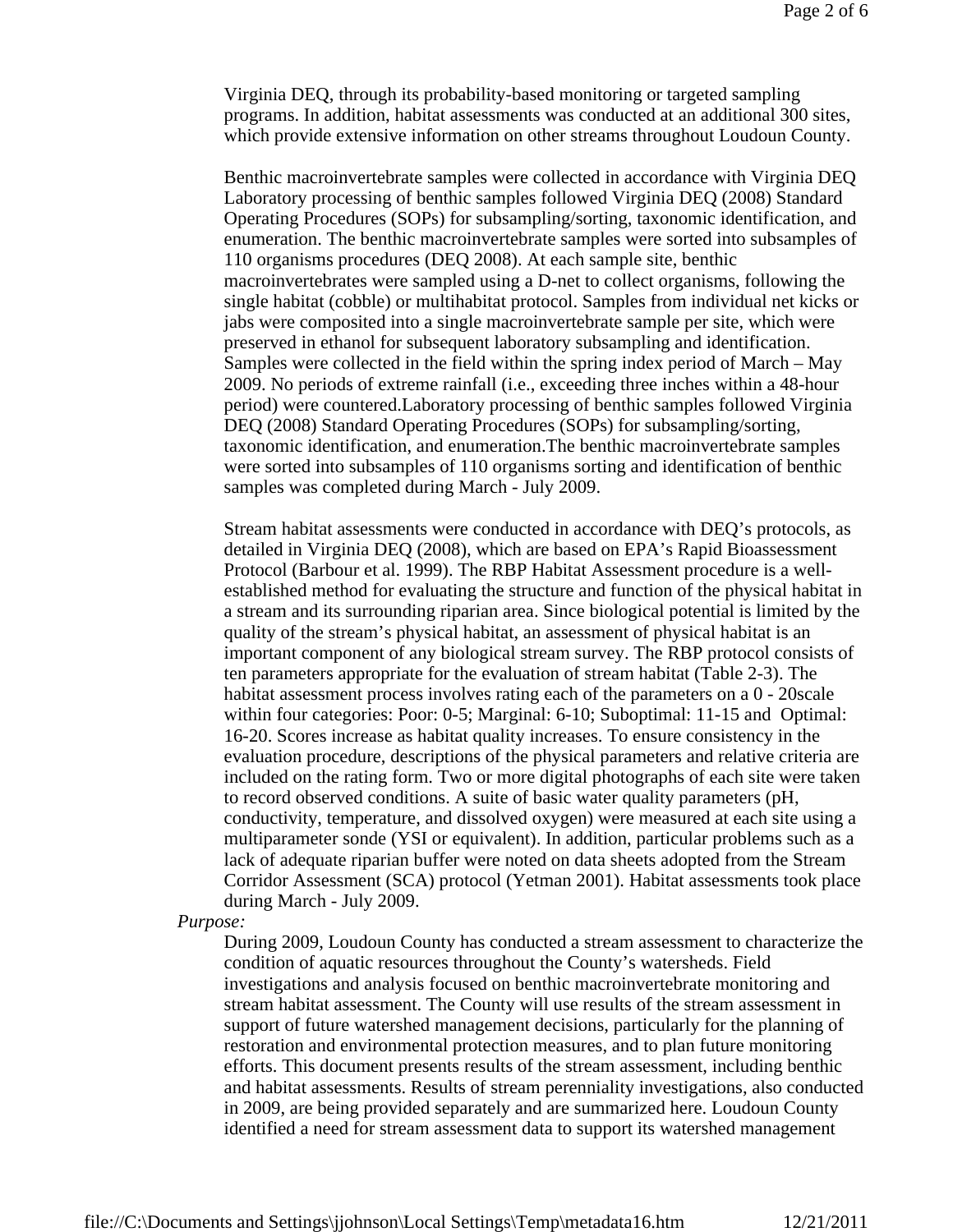Virginia DEQ, through its probability-based monitoring or targeted sampling programs. In addition, habitat assessments was conducted at an additional 300 sites, which provide extensive information on other streams throughout Loudoun County.

Benthic macroinvertebrate samples were collected in accordance with Virginia DEQ Laboratory processing of benthic samples followed Virginia DEQ (2008) Standard Operating Procedures (SOPs) for subsampling/sorting, taxonomic identification, and enumeration. The benthic macroinvertebrate samples were sorted into subsamples of 110 organisms procedures (DEQ 2008). At each sample site, benthic macroinvertebrates were sampled using a D-net to collect organisms, following the single habitat (cobble) or multihabitat protocol. Samples from individual net kicks or jabs were composited into a single macroinvertebrate sample per site, which were preserved in ethanol for subsequent laboratory subsampling and identification. Samples were collected in the field within the spring index period of March – May 2009. No periods of extreme rainfall (i.e., exceeding three inches within a 48-hour period) were countered.Laboratory processing of benthic samples followed Virginia DEQ (2008) Standard Operating Procedures (SOPs) for subsampling/sorting, taxonomic identification, and enumeration.The benthic macroinvertebrate samples were sorted into subsamples of 110 organisms sorting and identification of benthic samples was completed during March - July 2009.

Stream habitat assessments were conducted in accordance with DEQ's protocols, as detailed in Virginia DEQ (2008), which are based on EPA's Rapid Bioassessment Protocol (Barbour et al. 1999). The RBP Habitat Assessment procedure is a wellestablished method for evaluating the structure and function of the physical habitat in a stream and its surrounding riparian area. Since biological potential is limited by the quality of the stream's physical habitat, an assessment of physical habitat is an important component of any biological stream survey. The RBP protocol consists of ten parameters appropriate for the evaluation of stream habitat (Table 2-3). The habitat assessment process involves rating each of the parameters on a  $0 - 20$  scale within four categories: Poor: 0-5; Marginal: 6-10; Suboptimal: 11-15 and Optimal: 16-20. Scores increase as habitat quality increases. To ensure consistency in the evaluation procedure, descriptions of the physical parameters and relative criteria are included on the rating form. Two or more digital photographs of each site were taken to record observed conditions. A suite of basic water quality parameters (pH, conductivity, temperature, and dissolved oxygen) were measured at each site using a multiparameter sonde (YSI or equivalent). In addition, particular problems such as a lack of adequate riparian buffer were noted on data sheets adopted from the Stream Corridor Assessment (SCA) protocol (Yetman 2001). Habitat assessments took place during March - July 2009.

#### *Purpose:*

During 2009, Loudoun County has conducted a stream assessment to characterize the condition of aquatic resources throughout the County's watersheds. Field investigations and analysis focused on benthic macroinvertebrate monitoring and stream habitat assessment. The County will use results of the stream assessment in support of future watershed management decisions, particularly for the planning of restoration and environmental protection measures, and to plan future monitoring efforts. This document presents results of the stream assessment, including benthic and habitat assessments. Results of stream perenniality investigations, also conducted in 2009, are being provided separately and are summarized here. Loudoun County identified a need for stream assessment data to support its watershed management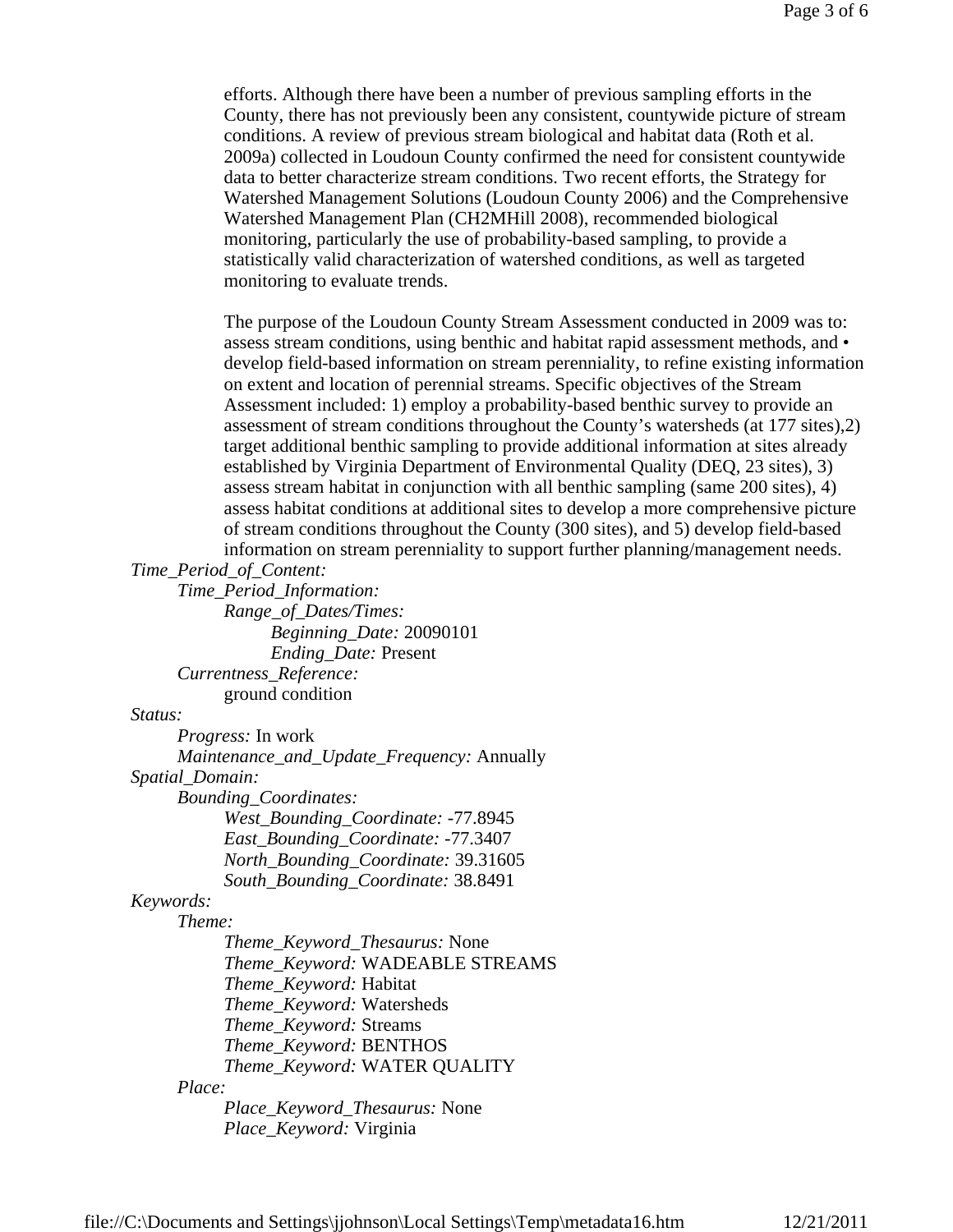efforts. Although there have been a number of previous sampling efforts in the County, there has not previously been any consistent, countywide picture of stream conditions. A review of previous stream biological and habitat data (Roth et al. 2009a) collected in Loudoun County confirmed the need for consistent countywide data to better characterize stream conditions. Two recent efforts, the Strategy for Watershed Management Solutions (Loudoun County 2006) and the Comprehensive Watershed Management Plan (CH2MHill 2008), recommended biological monitoring, particularly the use of probability-based sampling, to provide a statistically valid characterization of watershed conditions, as well as targeted monitoring to evaluate trends.

The purpose of the Loudoun County Stream Assessment conducted in 2009 was to: assess stream conditions, using benthic and habitat rapid assessment methods, and • develop field-based information on stream perenniality, to refine existing information on extent and location of perennial streams. Specific objectives of the Stream Assessment included: 1) employ a probability-based benthic survey to provide an assessment of stream conditions throughout the County's watersheds (at 177 sites),2) target additional benthic sampling to provide additional information at sites already established by Virginia Department of Environmental Quality (DEQ, 23 sites), 3) assess stream habitat in conjunction with all benthic sampling (same 200 sites), 4) assess habitat conditions at additional sites to develop a more comprehensive picture of stream conditions throughout the County (300 sites), and 5) develop field-based information on stream perenniality to support further planning/management needs.

*Time\_Period\_of\_Content:*

*Time\_Period\_Information: Range\_of\_Dates/Times: Beginning\_Date:* 20090101 *Ending\_Date:* Present *Currentness\_Reference:* ground condition

#### *Status:*

*Progress:* In work *Maintenance\_and\_Update\_Frequency:* Annually *Spatial\_Domain: Bounding\_Coordinates: West\_Bounding\_Coordinate:* -77.8945 *East\_Bounding\_Coordinate:* -77.3407 *North\_Bounding\_Coordinate:* 39.31605 *South\_Bounding\_Coordinate:* 38.8491 *Keywords: Theme: Theme\_Keyword\_Thesaurus:* None *Theme\_Keyword:* WADEABLE STREAMS

*Theme\_Keyword:* Habitat

*Theme\_Keyword:* Watersheds

*Theme\_Keyword:* Streams

*Theme\_Keyword:* BENTHOS

*Theme\_Keyword:* WATER QUALITY

#### *Place:*

*Place\_Keyword\_Thesaurus:* None *Place\_Keyword:* Virginia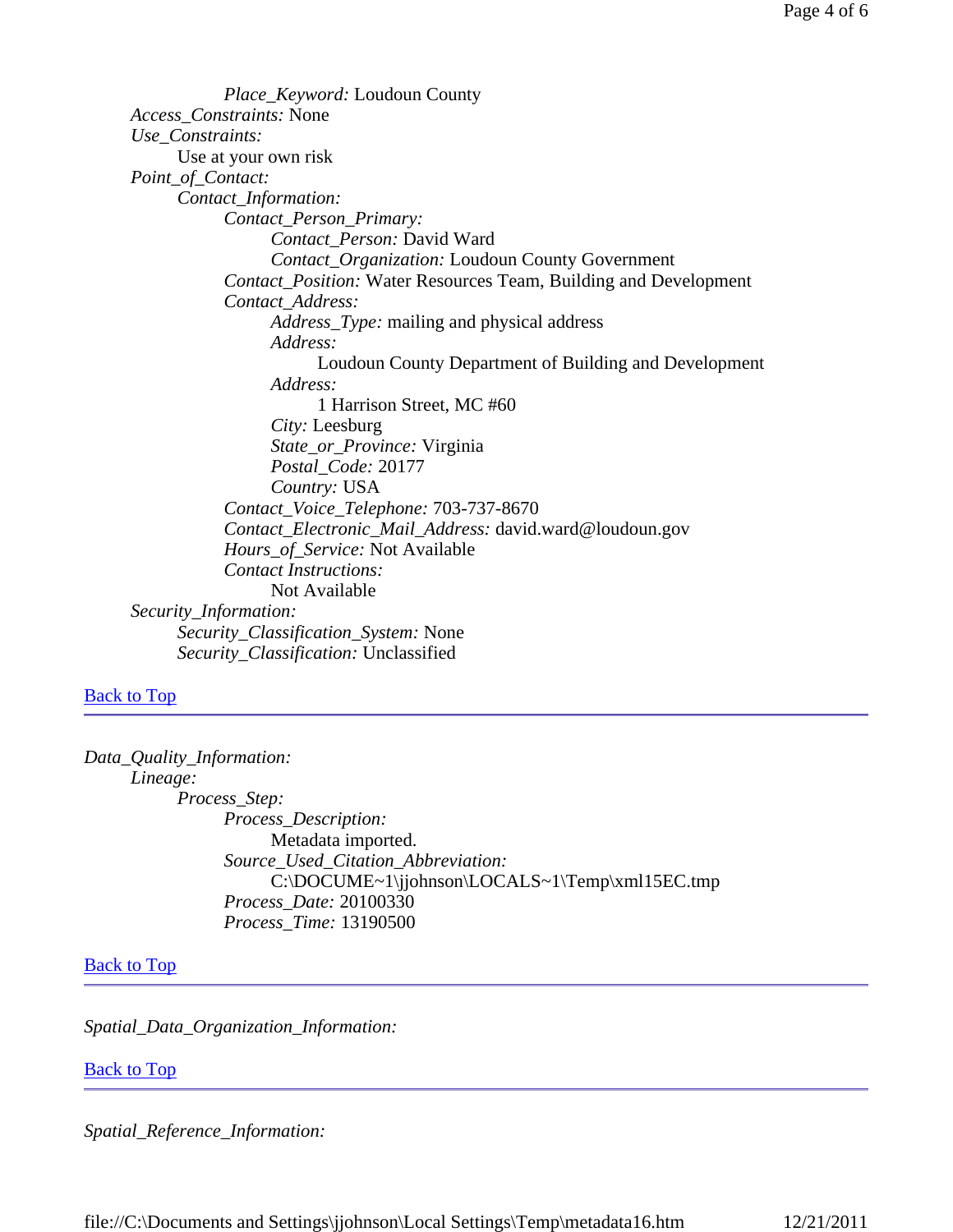*Place\_Keyword:* Loudoun County *Access\_Constraints:* None *Use\_Constraints:* Use at your own risk *Point\_of\_Contact: Contact\_Information: Contact\_Person\_Primary: Contact\_Person:* David Ward *Contact\_Organization:* Loudoun County Government *Contact\_Position:* Water Resources Team, Building and Development *Contact\_Address: Address\_Type:* mailing and physical address *Address:* Loudoun County Department of Building and Development *Address:* 1 Harrison Street, MC #60 *City:* Leesburg *State\_or\_Province:* Virginia *Postal\_Code:* 20177 *Country:* USA *Contact\_Voice\_Telephone:* 703-737-8670 *Contact\_Electronic\_Mail\_Address:* david.ward@loudoun.gov *Hours\_of\_Service:* Not Available *Contact Instructions:* Not Available *Security\_Information: Security\_Classification\_System:* None *Security\_Classification:* Unclassified

#### **Back to Top**

```
Data_Quality_Information: 
Lineage: 
      Process_Step: 
            Process_Description: 
                  Metadata imported. 
            Source_Used_Citation_Abbreviation: 
                  C:\DOCUME~1\jjohnson\LOCALS~1\Temp\xml15EC.tmp 
            Process_Date: 20100330 
            Process_Time: 13190500
```
#### **Back to Top**

*Spatial\_Data\_Organization\_Information:*

#### Back to Top

*Spatial\_Reference\_Information:*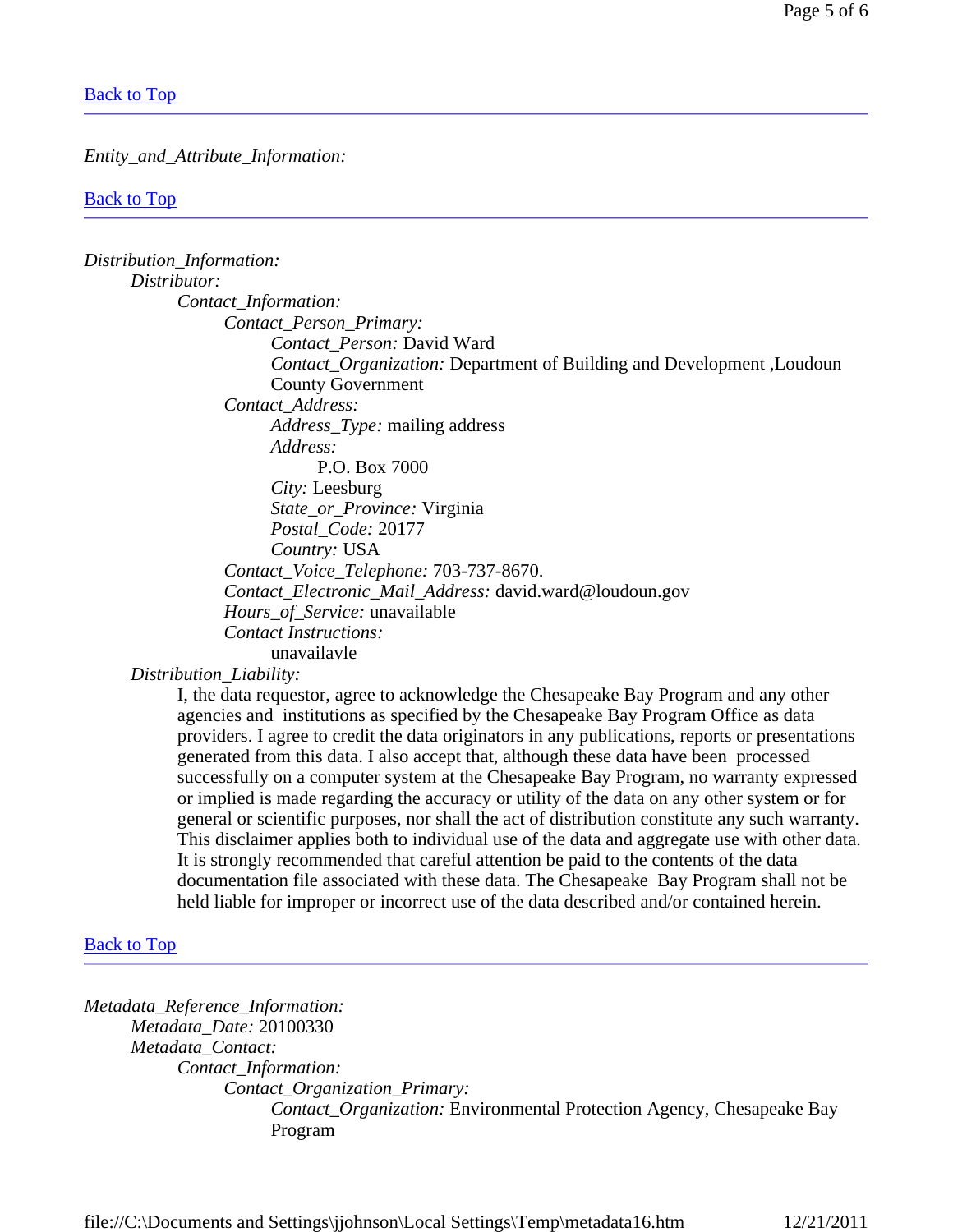#### Back to Top

#### *Entity\_and\_Attribute\_Information:*

#### **Back to Top**

| Distribution_Information:                                                           |
|-------------------------------------------------------------------------------------|
| Distributor:                                                                        |
| Contact_Information:                                                                |
| Contact_Person_Primary:                                                             |
| Contact Person: David Ward                                                          |
| <i>Contact_Organization:</i> Department of Building and Development , Loudoun       |
| <b>County Government</b>                                                            |
| Contact Address:                                                                    |
| <i>Address_Type:</i> mailing address                                                |
| Address:                                                                            |
| P.O. Box 7000                                                                       |
| <i>City:</i> Leesburg                                                               |
| <i>State_or_Province:</i> Virginia                                                  |
| Postal_Code: 20177                                                                  |
| Country: USA                                                                        |
| Contact_Voice_Telephone: 703-737-8670.                                              |
| Contact_Electronic_Mail_Address: david.ward@loudoun.gov                             |
| <i>Hours_of_Service:</i> unavailable                                                |
| <b>Contact Instructions:</b>                                                        |
| unavailavle                                                                         |
| Distribution_Liability:                                                             |
| I the data requestor, garee to acknowledge the Chesapeake Ray Program and any other |

I, the data requestor, agree to acknowledge the Chesapeake Bay Program and any other agencies and institutions as specified by the Chesapeake Bay Program Office as data providers. I agree to credit the data originators in any publications, reports or presentations generated from this data. I also accept that, although these data have been processed successfully on a computer system at the Chesapeake Bay Program, no warranty expressed or implied is made regarding the accuracy or utility of the data on any other system or for general or scientific purposes, nor shall the act of distribution constitute any such warranty. This disclaimer applies both to individual use of the data and aggregate use with other data. It is strongly recommended that careful attention be paid to the contents of the data documentation file associated with these data. The Chesapeake Bay Program shall not be held liable for improper or incorrect use of the data described and/or contained herein.

#### **Back to Top**

*Metadata\_Reference\_Information: Metadata\_Date:* 20100330 *Metadata\_Contact: Contact\_Information: Contact\_Organization\_Primary: Contact\_Organization:* Environmental Protection Agency, Chesapeake Bay Program